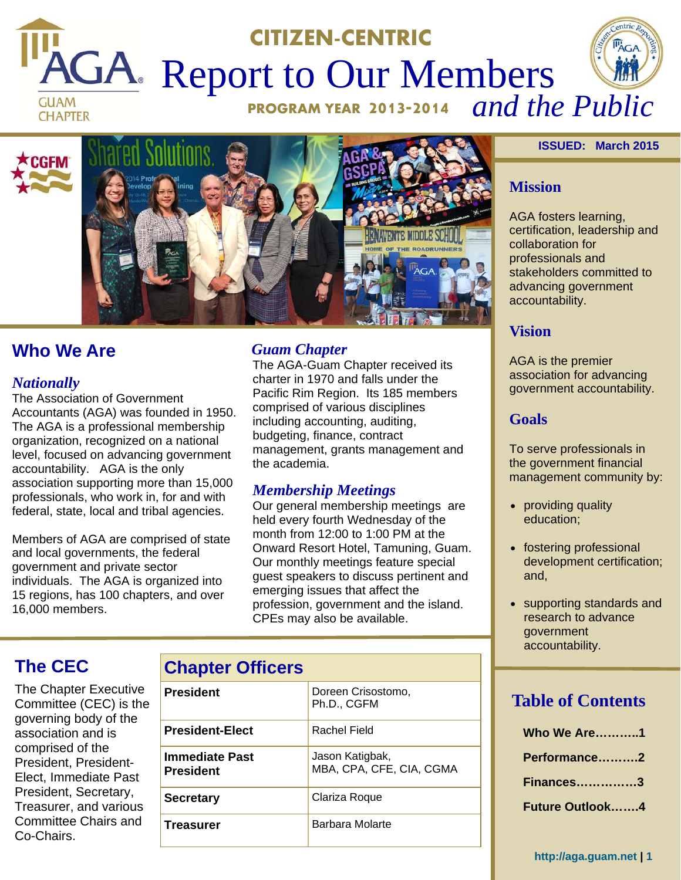# **CITIZEN-CENTRIC PAGA** Report to Our Members **GUAM**





## **Who We Are**

### *Nationally*

The Association of Government Accountants (AGA) was founded in 1950. The AGA is a professional membership organization, recognized on a national level, focused on advancing government accountability. AGA is the only association supporting more than 15,000 professionals, who work in, for and with federal, state, local and tribal agencies.

Members of AGA are comprised of state and local governments, the federal government and private sector individuals. The AGA is organized into 15 regions, has 100 chapters, and over 16,000 members.

## *Guam Chapter*

The AGA-Guam Chapter received its charter in 1970 and falls under the Pacific Rim Region. Its 185 members comprised of various disciplines including accounting, auditing, budgeting, finance, contract management, grants management and the academia.

## *Membership Meetings*

Our general membership meetings are held every fourth Wednesday of the month from 12:00 to 1:00 PM at the Onward Resort Hotel, Tamuning, Guam. Our monthly meetings feature special guest speakers to discuss pertinent and emerging issues that affect the profession, government and the island. CPEs may also be available.

## **The CEC**

The Chapter Executive Committee (CEC) is the governing body of the association and is comprised of the President, President-Elect, Immediate Past President, Secretary, Treasurer, and various Committee Chairs and Co-Chairs.

| <b>Chapter Officers</b>     |                                             |  |  |
|-----------------------------|---------------------------------------------|--|--|
| President                   | Doreen Crisostomo,<br>Ph.D., CGFM           |  |  |
| <b>President-Elect</b>      | Rachel Field                                |  |  |
| Immediate Past<br>President | Jason Katigbak,<br>MBA, CPA, CFE, CIA, CGMA |  |  |
| Secretary                   | Clariza Roque                               |  |  |
| Treasurer                   | Barbara Molarte                             |  |  |

#### **ISSUED: March 2015**

#### **Mission**

AGA fosters learning, certification, leadership and collaboration for professionals and stakeholders committed to advancing government accountability.

### **Vision**

AGA is the premier association for advancing government accountability.

## **Goals**

To serve professionals in the government financial management community by:

- providing quality education;
- fostering professional development certification; and,
- supporting standards and research to advance government accountability.

## **Table of Contents**

**http://aga.guam.net | 1**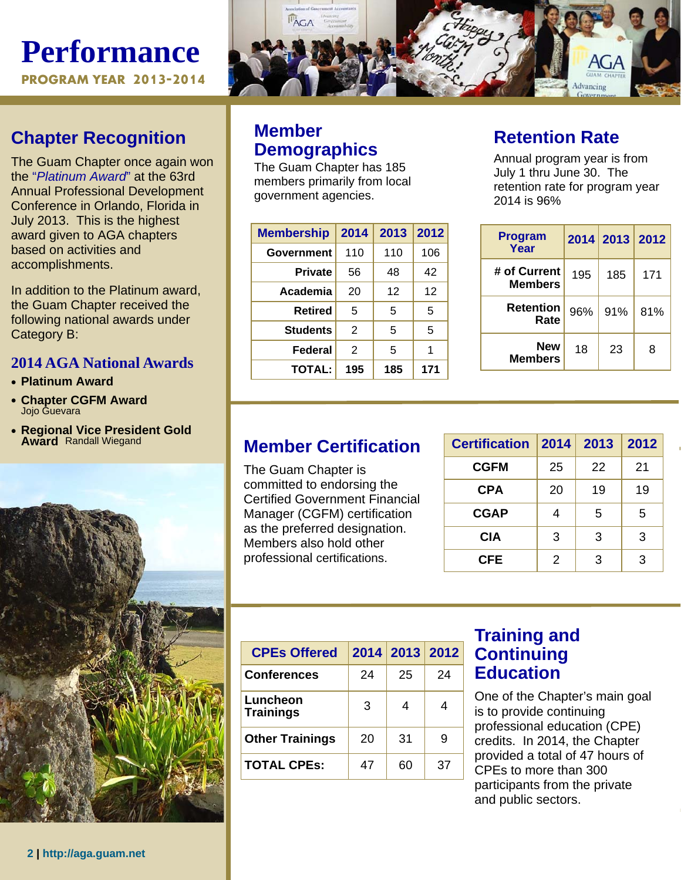# **Performance PROGRAM YEAR 2013-2014**

## **Chapter Recognition**

The Guam Chapter once again won the "*Platinum Award*" at the 63rd Annual Professional Development Conference in Orlando, Florida in July 2013. This is the highest award given to AGA chapters based on activities and accomplishments.

In addition to the Platinum award, the Guam Chapter received the following national awards under Category B:

## **2014 AGA National Awards**

- **Platinum Award**
- **Chapter CGFM Award**  Jojo Guevara
- **Regional Vice President Gold Award** Randall Wiegand



## **Member Demographics**

The Guam Chapter has 185 members primarily from local government agencies.

| <b>Membership</b> | 2014 | 2013 | 2012 |
|-------------------|------|------|------|
| Government        | 110  | 110  | 106  |
| <b>Private</b>    | 56   | 48   | 42   |
| Academia          | 20   | 12   | 12   |
| <b>Retired</b>    | 5    | 5    | 5    |
| <b>Students</b>   | 2    | 5    | 5    |
| Federal           | 2    | 5    | 1    |
| <b>TOTAL:</b>     | 195  | 185  | 171  |

## **Retention Rate**

Annual program year is from July 1 thru June 30. The retention rate for program year 2014 is 96%

| <b>Program</b><br>Year         |     | 2014 2013 2012 |     |
|--------------------------------|-----|----------------|-----|
| # of Current<br><b>Members</b> | 195 | 185            | 171 |
| <b>Retention</b><br>Rate       | 96% | 91%            | 81% |
| <b>New</b><br><b>Members</b>   | 18  | 23             | 8   |

## **Member Certification**

The Guam Chapter is committed to endorsing the Certified Government Financial Manager (CGFM) certification as the preferred designation. Members also hold other professional certifications.

| <b>Certification</b> | 2014 | 2013 | 2012 |
|----------------------|------|------|------|
| <b>CGFM</b>          | 25   | 22   | 21   |
| <b>CPA</b>           | 20   | 19   | 19   |
| <b>CGAP</b>          |      | 5    | 5    |
| <b>CIA</b>           | 3    | 3    | 3    |
| <b>CFE</b>           | 2    | 3    | 3    |



| <b>CPEs Offered</b>          |    | 2014 2013 2012 |    |
|------------------------------|----|----------------|----|
| <b>Conferences</b>           | 24 | 25             | 24 |
| Luncheon<br><b>Trainings</b> | 3  | 4              |    |
| <b>Other Trainings</b>       | 20 | 31             | 9  |
| <b>TOTAL CPEs:</b>           | 47 | 60             | 37 |

## **Training and Continuing Education**

One of the Chapter's main goal is to provide continuing professional education (CPE) credits. In 2014, the Chapter provided a total of 47 hours of CPEs to more than 300 participants from the private and public sectors.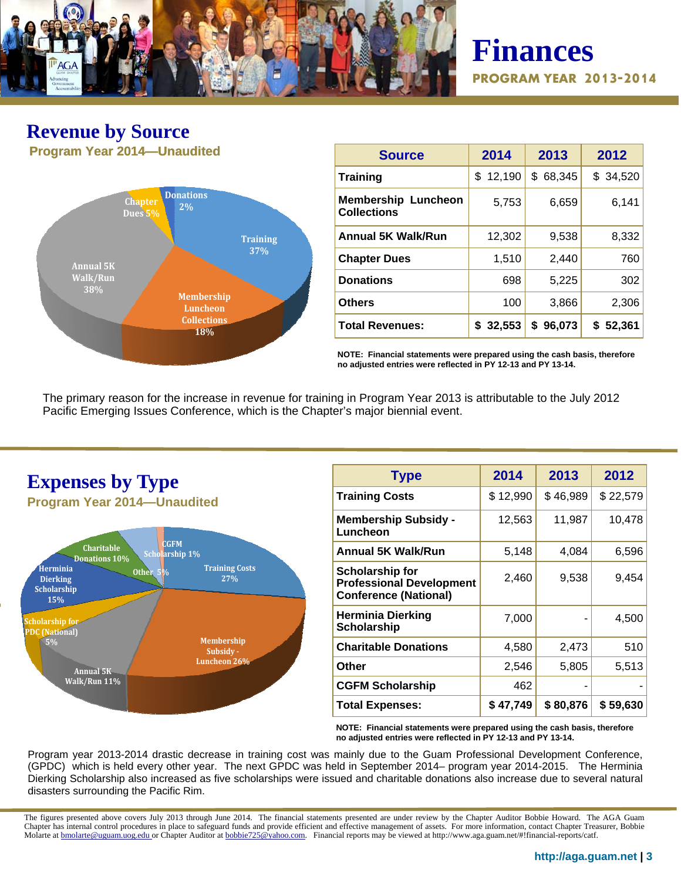

# **Finances PROGRAM YEAR 2013-2014**

## **Revenue by Source Program Year 2014—Unaudited**



| <b>Source</b>                                    | 2014         | 2013         | 2012        |
|--------------------------------------------------|--------------|--------------|-------------|
| <b>Training</b>                                  | 12,190<br>\$ | 68,345<br>\$ | \$34,520    |
| <b>Membership Luncheon</b><br><b>Collections</b> | 5,753        | 6,659        | 6,141       |
| <b>Annual 5K Walk/Run</b>                        | 12,302       | 9,538        | 8,332       |
| <b>Chapter Dues</b>                              | 1,510        | 2,440        | 760         |
| <b>Donations</b>                                 | 698          | 5,225        | 302         |
| <b>Others</b>                                    | 100          | 3,866        | 2,306       |
| <b>Total Revenues:</b>                           | 32,553<br>\$ | 96,073<br>\$ | 52,361<br>S |

**NOTE: Financial statements were prepared using the cash basis, therefore no adjusted entries were reflected in PY 12-13 and PY 13-14.** 

The primary reason for the increase in revenue for training in Program Year 2013 is attributable to the July 2012 Pacific Emerging Issues Conference, which is the Chapter's major biennial event.



| <b>Type</b>                                                                               | 2014     | 2013     | 2012     |
|-------------------------------------------------------------------------------------------|----------|----------|----------|
| <b>Training Costs</b>                                                                     | \$12,990 | \$46,989 | \$22,579 |
| <b>Membership Subsidy -</b><br>Luncheon                                                   | 12,563   | 11,987   | 10,478   |
| <b>Annual 5K Walk/Run</b>                                                                 | 5,148    | 4,084    | 6,596    |
| <b>Scholarship for</b><br><b>Professional Development</b><br><b>Conference (National)</b> | 2,460    | 9,538    | 9,454    |
| <b>Herminia Dierking</b><br><b>Scholarship</b>                                            | 7,000    |          | 4,500    |
| <b>Charitable Donations</b>                                                               | 4,580    | 2,473    | 510      |
| Other                                                                                     | 2,546    | 5,805    | 5,513    |
| <b>CGFM Scholarship</b>                                                                   | 462      |          |          |
| <b>Total Expenses:</b>                                                                    | \$47,749 | \$80,876 | \$59,630 |

**NOTE: Financial statements were prepared using the cash basis, therefore no adjusted entries were reflected in PY 12-13 and PY 13-14.** 

Program year 2013-2014 drastic decrease in training cost was mainly due to the Guam Professional Development Conference, (GPDC) which is held every other year. The next GPDC was held in September 2014– program year 2014-2015. The Herminia Dierking Scholarship also increased as five scholarships were issued and charitable donations also increase due to several natural disasters surrounding the Pacific Rim.

The figures presented above covers July 2013 through June 2014. The financial statements presented are under review by the Chapter Auditor Bobbie Howard. The AGA Guam Chapter has internal control procedures in place to safeguard funds and provide efficient and effective management of assets. For more information, contact Chapter Treasurer, Bobbie Molarte at **bmolarte@uguam.uog.edu** or Chapter Auditor at bobbie725@yahoo.com. Financial reports may be viewed at http://www.aga.guam.net/#!financial-reports/catf.